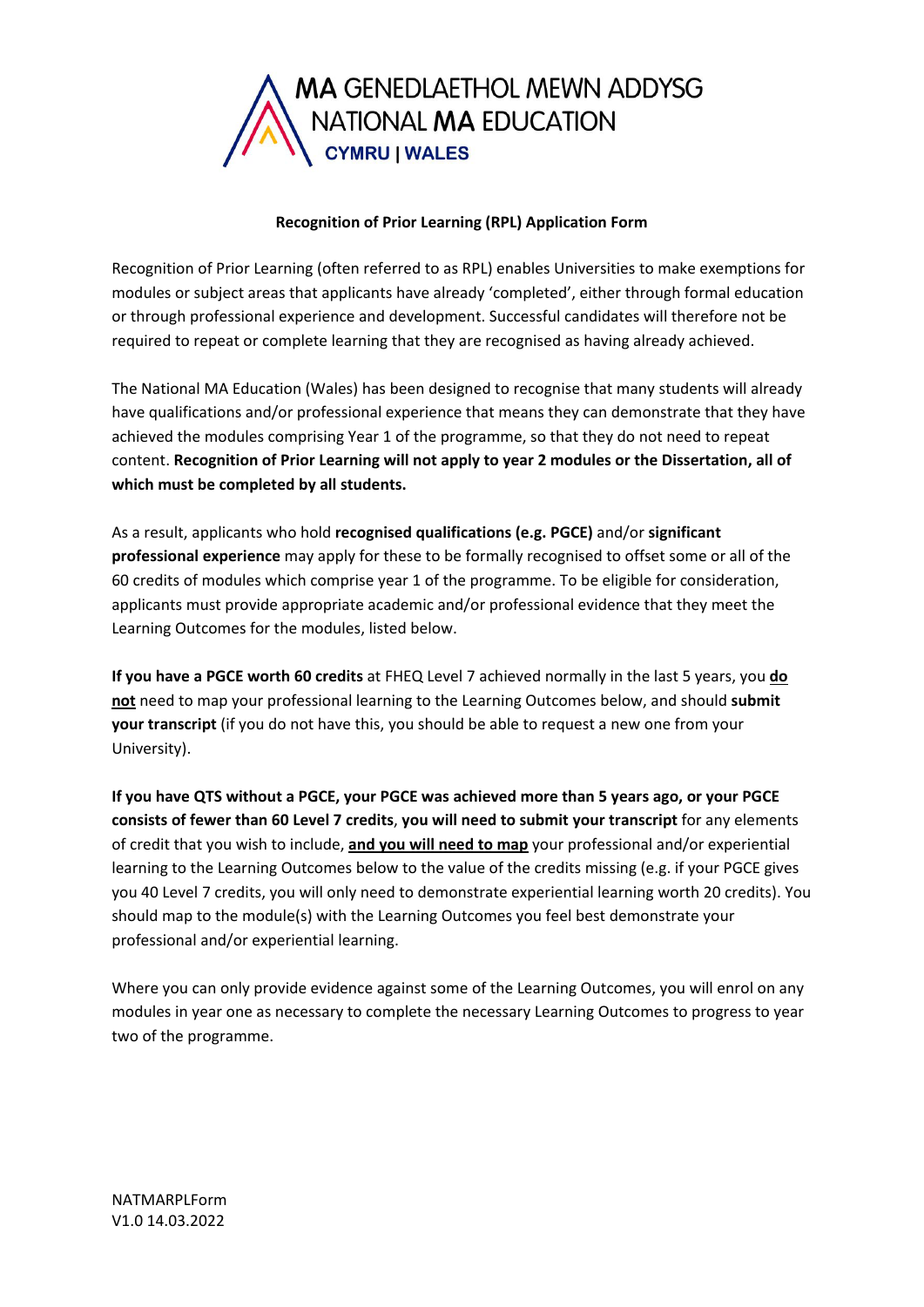

# **Recognition of Prior Learning (RPL) Application Form**

Recognition of Prior Learning (often referred to as RPL) enables Universities to make exemptions for modules or subject areas that applicants have already 'completed', either through formal education or through professional experience and development. Successful candidates will therefore not be required to repeat or complete learning that they are recognised as having already achieved.

The National MA Education (Wales) has been designed to recognise that many students will already have qualifications and/or professional experience that means they can demonstrate that they have achieved the modules comprising Year 1 of the programme, so that they do not need to repeat content. **Recognition of Prior Learning will not apply to year 2 modules or the Dissertation, all of which must be completed by all students.**

As a result, applicants who hold **recognised qualifications (e.g. PGCE)** and/or **significant professional experience** may apply for these to be formally recognised to offset some or all of the 60 credits of modules which comprise year 1 of the programme. To be eligible for consideration, applicants must provide appropriate academic and/or professional evidence that they meet the Learning Outcomes for the modules, listed below.

**If you have a PGCE worth 60 credits** at FHEQ Level 7 achieved normally in the last 5 years, you **do not** need to map your professional learning to the Learning Outcomes below, and should **submit your transcript** (if you do not have this, you should be able to request a new one from your University).

**If you have QTS without a PGCE, your PGCE was achieved more than 5 years ago, or your PGCE consists of fewer than 60 Level 7 credits**, **you will need to submit your transcript** for any elements of credit that you wish to include, **and you will need to map** your professional and/or experiential learning to the Learning Outcomes below to the value of the credits missing (e.g. if your PGCE gives you 40 Level 7 credits, you will only need to demonstrate experiential learning worth 20 credits). You should map to the module(s) with the Learning Outcomes you feel best demonstrate your professional and/or experiential learning.

Where you can only provide evidence against some of the Learning Outcomes, you will enrol on any modules in year one as necessary to complete the necessary Learning Outcomes to progress to year two of the programme.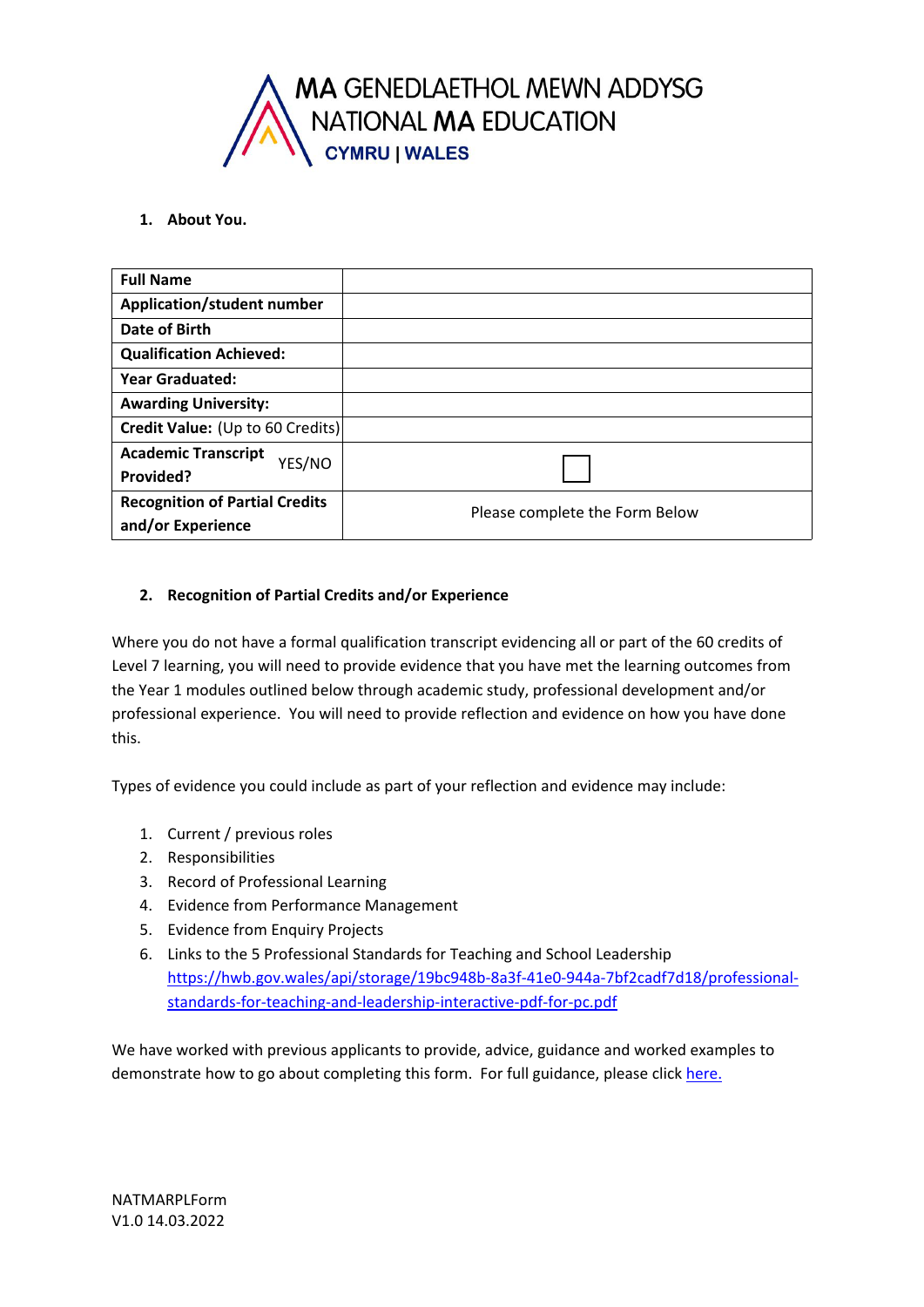

# **1. About You.**

| <b>Full Name</b>                      |                                |
|---------------------------------------|--------------------------------|
| <b>Application/student number</b>     |                                |
| <b>Date of Birth</b>                  |                                |
| <b>Qualification Achieved:</b>        |                                |
| <b>Year Graduated:</b>                |                                |
| <b>Awarding University:</b>           |                                |
| Credit Value: (Up to 60 Credits)      |                                |
| <b>Academic Transcript</b><br>YES/NO  |                                |
| Provided?                             |                                |
| <b>Recognition of Partial Credits</b> | Please complete the Form Below |
| and/or Experience                     |                                |

# **2. Recognition of Partial Credits and/or Experience**

Where you do not have a formal qualification transcript evidencing all or part of the 60 credits of Level 7 learning, you will need to provide evidence that you have met the learning outcomes from the Year 1 modules outlined below through academic study, professional development and/or professional experience. You will need to provide reflection and evidence on how you have done this.

Types of evidence you could include as part of your reflection and evidence may include:

- 1. Current / previous roles
- 2. Responsibilities
- 3. Record of Professional Learning
- 4. Evidence from Performance Management
- 5. Evidence from Enquiry Projects
- 6. Links to the 5 Professional Standards for Teaching and School Leadership [https://hwb.gov.wales/api/storage/19bc948b-8a3f-41e0-944a-7bf2cadf7d18/professional](https://hwb.gov.wales/api/storage/19bc948b-8a3f-41e0-944a-7bf2cadf7d18/professional-standards-for-teaching-and-leadership-interactive-pdf-for-pc.pdf)[standards-for-teaching-and-leadership-interactive-pdf-for-pc.pdf](https://hwb.gov.wales/api/storage/19bc948b-8a3f-41e0-944a-7bf2cadf7d18/professional-standards-for-teaching-and-leadership-interactive-pdf-for-pc.pdf)

We have worked with previous applicants to provide, advice, guidance and worked examples to demonstrate how to go about completing this form. For full guidance, please click [here.](https://www.swansea.ac.uk/postgraduate/taught/artsandhumanities/ma-education-wales/#how-to-apply=is-expanded)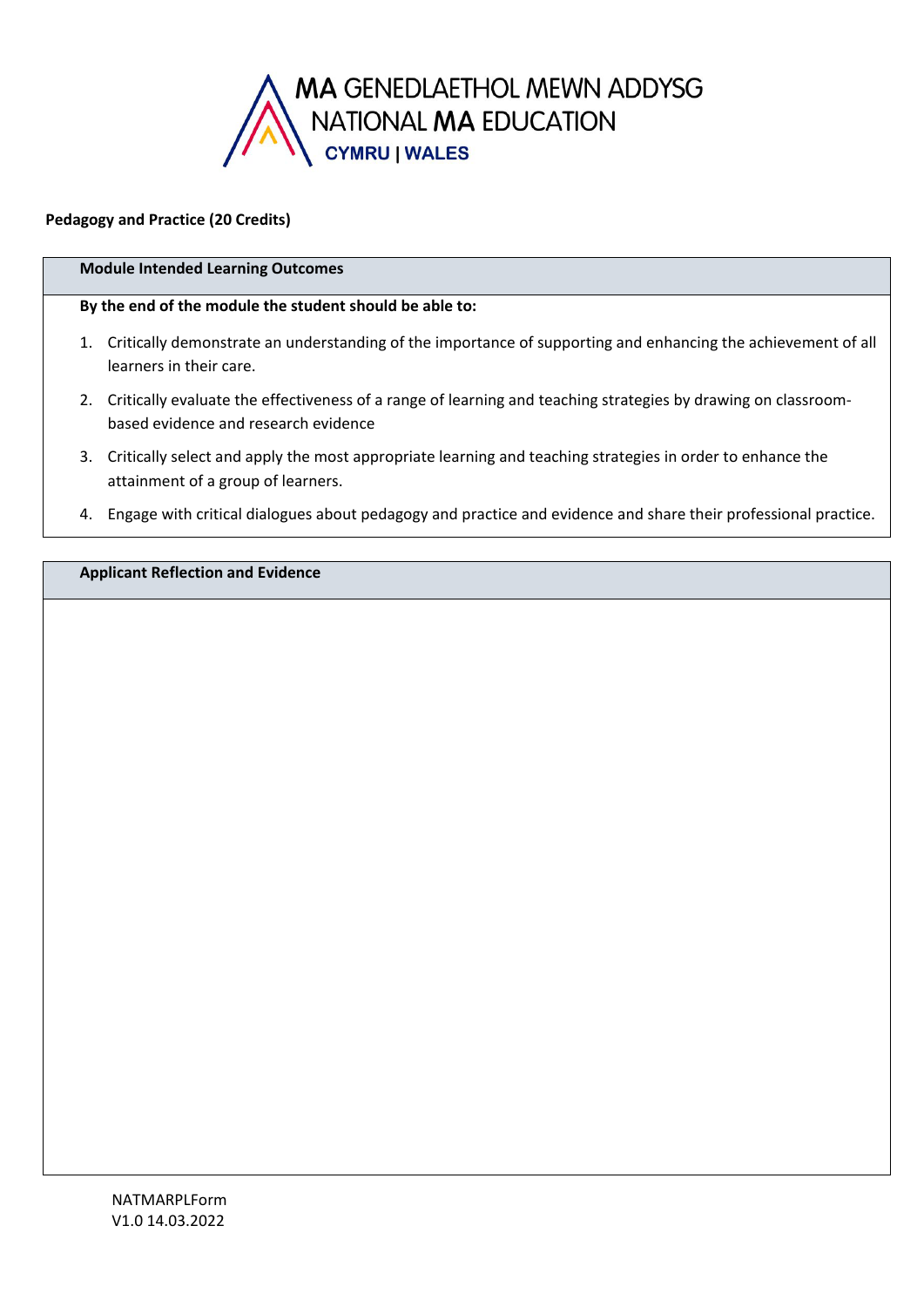

# **Pedagogy and Practice (20 Credits)**

### **Module Intended Learning Outcomes**

#### **By the end of the module the student should be able to:**

- 1. Critically demonstrate an understanding of the importance of supporting and enhancing the achievement of all learners in their care.
- 2. Critically evaluate the effectiveness of a range of learning and teaching strategies by drawing on classroombased evidence and research evidence
- 3. Critically select and apply the most appropriate learning and teaching strategies in order to enhance the attainment of a group of learners.
- 4. Engage with critical dialogues about pedagogy and practice and evidence and share their professional practice.

**Applicant Reflection and Evidence**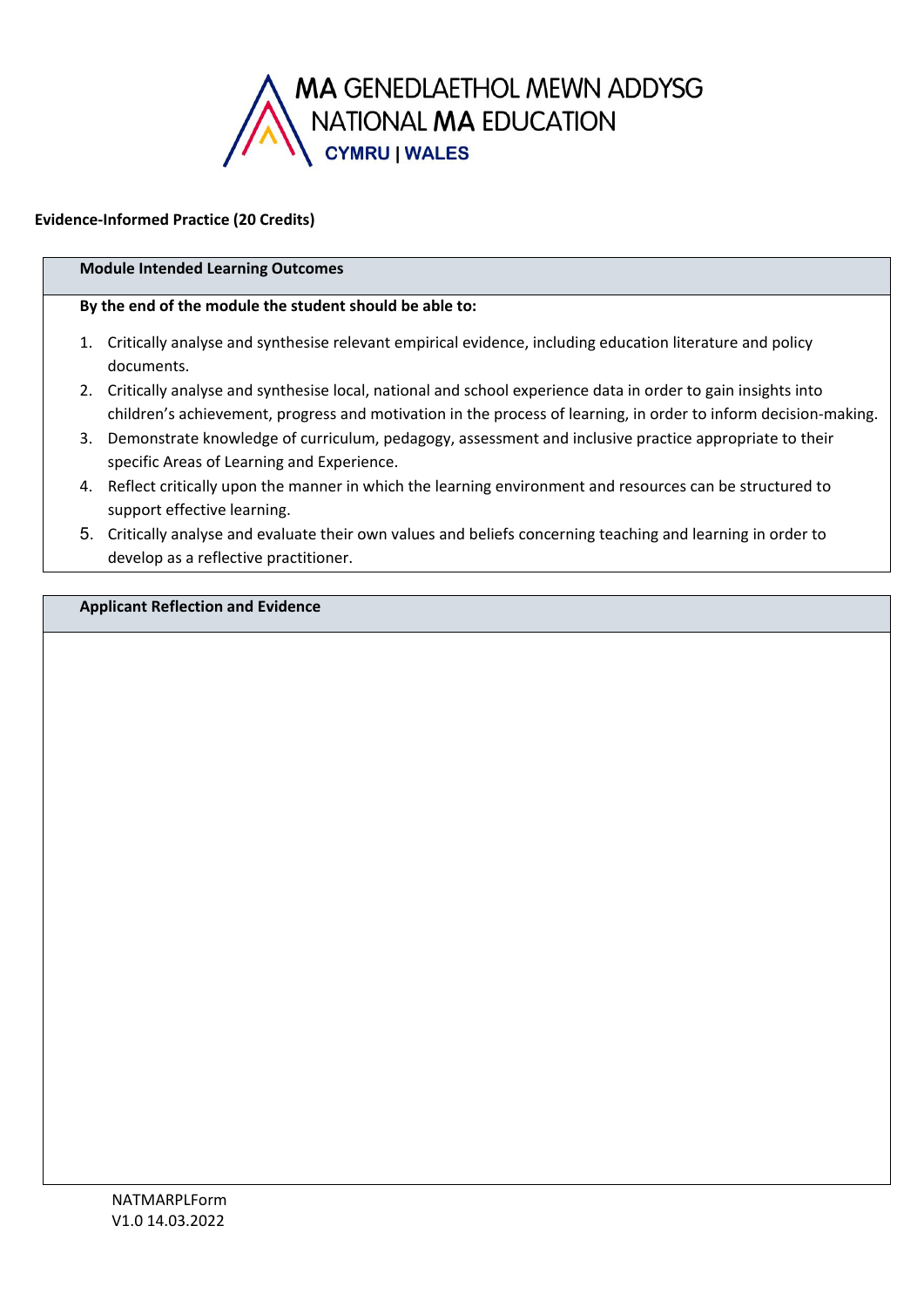

# **Evidence-Informed Practice (20 Credits)**

# **Module Intended Learning Outcomes**

### **By the end of the module the student should be able to:**

- 1. Critically analyse and synthesise relevant empirical evidence, including education literature and policy documents.
- 2. Critically analyse and synthesise local, national and school experience data in order to gain insights into children's achievement, progress and motivation in the process of learning, in order to inform decision-making.
- 3. Demonstrate knowledge of curriculum, pedagogy, assessment and inclusive practice appropriate to their specific Areas of Learning and Experience.
- 4. Reflect critically upon the manner in which the learning environment and resources can be structured to support effective learning.
- 5. Critically analyse and evaluate their own values and beliefs concerning teaching and learning in order to develop as a reflective practitioner.

# **Applicant Reflection and Evidence**